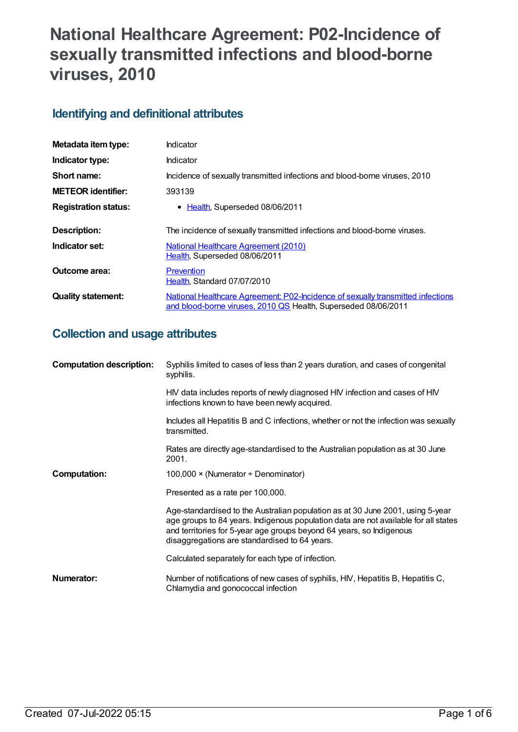# **National Healthcare Agreement: P02-Incidence of sexually transmitted infections and blood-borne viruses, 2010**

## **Identifying and definitional attributes**

| Metadata item type:         | Indicator                                                                                                                                         |
|-----------------------------|---------------------------------------------------------------------------------------------------------------------------------------------------|
| Indicator type:             | Indicator                                                                                                                                         |
| Short name:                 | Incidence of sexually transmitted infections and blood-borne viruses, 2010                                                                        |
| <b>METEOR identifier:</b>   | 393139                                                                                                                                            |
| <b>Registration status:</b> | • Health, Superseded 08/06/2011                                                                                                                   |
|                             |                                                                                                                                                   |
| Description:                | The incidence of sexually transmitted infections and blood-borne viruses.                                                                         |
| Indicator set:              | <b>National Healthcare Agreement (2010)</b>                                                                                                       |
|                             | Health, Superseded 08/06/2011                                                                                                                     |
| Outcome area:               | Prevention                                                                                                                                        |
|                             | Health, Standard 07/07/2010                                                                                                                       |
| <b>Quality statement:</b>   | National Healthcare Agreement: P02-Incidence of sexually transmitted infections<br>and blood-borne viruses, 2010 QS Health, Superseded 08/06/2011 |

## **Collection and usage attributes**

| <b>Computation description:</b> | Syphilis limited to cases of less than 2 years duration, and cases of congenital<br>syphilis.                                                                                                                                                                                                  |
|---------------------------------|------------------------------------------------------------------------------------------------------------------------------------------------------------------------------------------------------------------------------------------------------------------------------------------------|
|                                 | HIV data includes reports of newly diagnosed HIV infection and cases of HIV<br>infections known to have been newly acquired.                                                                                                                                                                   |
|                                 | Includes all Hepatitis B and C infections, whether or not the infection was sexually<br>transmitted.                                                                                                                                                                                           |
|                                 | Rates are directly age-standardised to the Australian population as at 30 June<br>2001.                                                                                                                                                                                                        |
| <b>Computation:</b>             | 100,000 $\times$ (Numerator $\div$ Denominator)                                                                                                                                                                                                                                                |
|                                 | Presented as a rate per 100,000.                                                                                                                                                                                                                                                               |
|                                 | Age-standardised to the Australian population as at 30 June 2001, using 5-year<br>age groups to 84 years. Indigenous population data are not available for all states<br>and territories for 5-year age groups beyond 64 years, so Indigenous<br>disaggregations are standardised to 64 years. |
|                                 | Calculated separately for each type of infection.                                                                                                                                                                                                                                              |
| Numerator:                      | Number of notifications of new cases of syphilis, HIV, Hepatitis B, Hepatitis C,<br>Chlamydia and gonococcal infection                                                                                                                                                                         |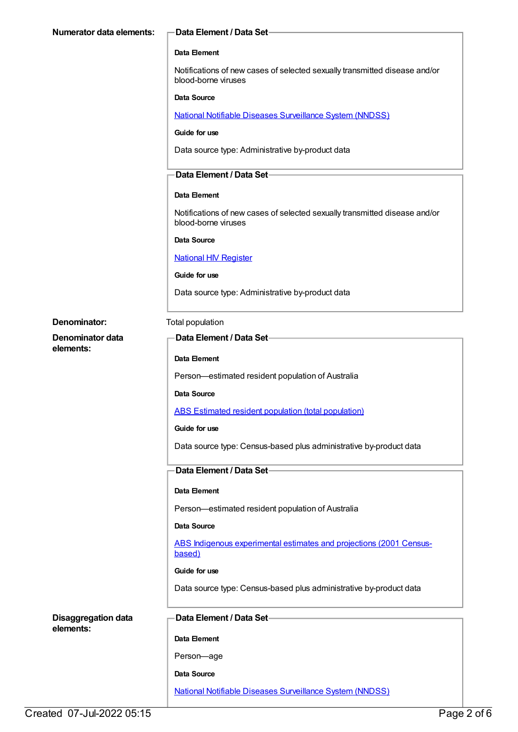| <b>Numerator data elements:</b> | Data Element / Data Set-                                                                          |
|---------------------------------|---------------------------------------------------------------------------------------------------|
|                                 | Data Element                                                                                      |
|                                 | Notifications of new cases of selected sexually transmitted disease and/or<br>blood-borne viruses |
|                                 | Data Source                                                                                       |
|                                 | National Notifiable Diseases Surveillance System (NNDSS)                                          |
|                                 | Guide for use                                                                                     |
|                                 | Data source type: Administrative by-product data                                                  |
|                                 | Data Element / Data Set-                                                                          |
|                                 | <b>Data Element</b>                                                                               |
|                                 | Notifications of new cases of selected sexually transmitted disease and/or<br>blood-borne viruses |
|                                 | <b>Data Source</b>                                                                                |
|                                 | <b>National HIV Register</b>                                                                      |
|                                 | Guide for use                                                                                     |
|                                 | Data source type: Administrative by-product data                                                  |
| Denominator:                    | Total population                                                                                  |
| Denominator data                | Data Element / Data Set-                                                                          |
| elements:                       | Data Element                                                                                      |
|                                 | Person-estimated resident population of Australia                                                 |
|                                 | Data Source                                                                                       |
|                                 | <b>ABS Estimated resident population (total population)</b>                                       |
|                                 | Guide for use                                                                                     |
|                                 | Data source type: Census-based plus administrative by-product data                                |
|                                 | Data Element / Data Set-                                                                          |
|                                 | Data Element                                                                                      |
|                                 | Person-estimated resident population of Australia                                                 |
|                                 | <b>Data Source</b>                                                                                |
|                                 | ABS Indigenous experimental estimates and projections (2001 Census-<br>based)                     |
|                                 | Guide for use                                                                                     |
|                                 | Data source type: Census-based plus administrative by-product data                                |
| <b>Disaggregation data</b>      | Data Element / Data Set-                                                                          |
| elements:                       | Data Element                                                                                      |
|                                 | Person-age                                                                                        |
|                                 | Data Source                                                                                       |
|                                 | <b>National Notifiable Diseases Surveillance System (NNDSS)</b>                                   |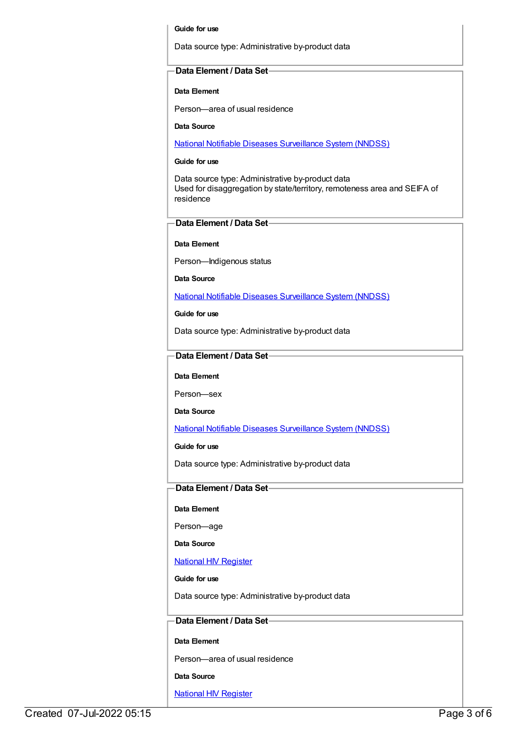#### **Guide for use**

Data source type: Administrative by-product data

#### **Data Element / Data Set**

#### **Data Element**

Person—area of usual residence

**Data Source**

National Notifiable Diseases [Surveillance](https://meteor.aihw.gov.au/content/393138) System (NNDSS)

#### **Guide for use**

Data source type: Administrative by-product data Used for disaggregation by state/territory, remoteness area and SEIFA of residence

#### **Data Element / Data Set**

**Data Element**

Person—Indigenous status

**Data Source**

National Notifiable Diseases [Surveillance](https://meteor.aihw.gov.au/content/393138) System (NNDSS)

**Guide for use**

Data source type: Administrative by-product data

#### **Data Element / Data Set**

#### **Data Element**

Person—sex

**Data Source**

National Notifiable Diseases [Surveillance](https://meteor.aihw.gov.au/content/393138) System (NNDSS)

**Guide for use**

Data source type: Administrative by-product data

#### **Data Element / Data Set**

#### **Data Element**

Person—age

**Data Source**

National HIV [Register](https://meteor.aihw.gov.au/content/396672)

#### **Guide for use**

Data source type: Administrative by-product data

#### **Data Element / Data Set**

#### **Data Element**

Person—area of usual residence

#### **Data Source**

**National HIV [Register](https://meteor.aihw.gov.au/content/396672)**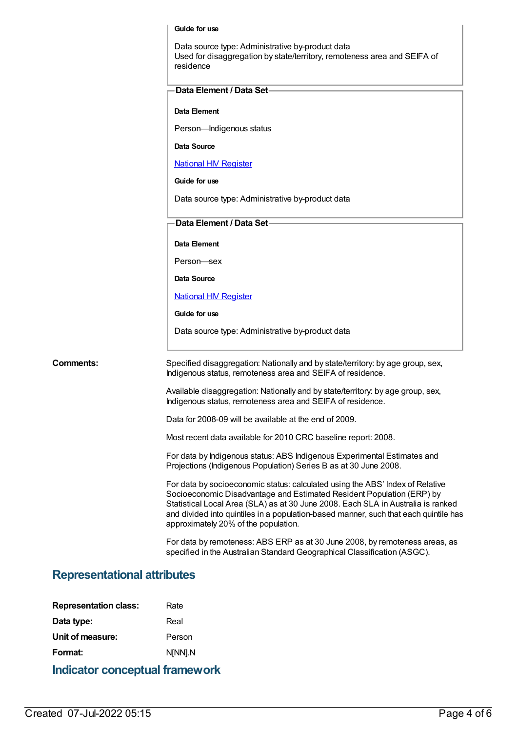#### **Guide for use**

Data source type: Administrative by-product data Used for disaggregation by state/territory, remoteness area and SEIFA of residence

#### **Data Element**

Person—Indigenous status

#### **Data Source**

National HIV [Register](https://meteor.aihw.gov.au/content/396672)

**Guide for use**

Data source type: Administrative by-product data

#### **Data Element / Data Set**

**Data Element**

Person—sex

**Data Source**

#### **National HIV [Register](https://meteor.aihw.gov.au/content/396672)**

**Guide for use**

Data source type: Administrative by-product data

**Comments:** Specified disaggregation: Nationally and by state/territory: by age group, sex, Indigenous status, remoteness area and SEIFA of residence.

> Available disaggregation: Nationally and by state/territory: by age group, sex, Indigenous status, remoteness area and SEIFA of residence.

Data for 2008-09 will be available at the end of 2009.

Most recent data available for 2010 CRC baseline report: 2008.

For data by Indigenous status: ABS Indigenous Experimental Estimates and Projections (Indigenous Population) Series B as at 30 June 2008.

For data by socioeconomic status: calculated using the ABS' Index of Relative Socioeconomic Disadvantage and Estimated Resident Population (ERP) by Statistical Local Area (SLA) as at 30 June 2008. Each SLA in Australia is ranked and divided into quintiles in a population-based manner, such that each quintile has approximately 20% of the population.

For data by remoteness: ABS ERP as at 30 June 2008, by remoteness areas, as specified in the Australian Standard Geographical Classification (ASGC).

### **Representational attributes**

| Rate    |
|---------|
| Real    |
| Person  |
| N[NN].N |
|         |

**Indicator conceptual framework**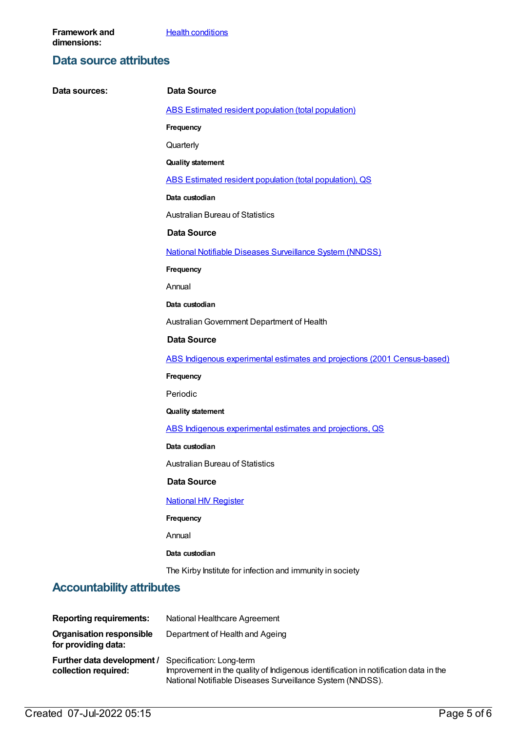## **Data source attributes**

| Data sources:                                          | Data Source                                                               |
|--------------------------------------------------------|---------------------------------------------------------------------------|
|                                                        | ABS Estimated resident population (total population)                      |
|                                                        | Frequency                                                                 |
|                                                        | Quarterly                                                                 |
|                                                        | <b>Quality statement</b>                                                  |
|                                                        | ABS Estimated resident population (total population), QS                  |
|                                                        | Data custodian                                                            |
|                                                        | <b>Australian Bureau of Statistics</b>                                    |
|                                                        | <b>Data Source</b>                                                        |
|                                                        | <b>National Notifiable Diseases Surveillance System (NNDSS)</b>           |
|                                                        | Frequency                                                                 |
|                                                        | Annual                                                                    |
|                                                        | Data custodian                                                            |
|                                                        | Australian Government Department of Health                                |
|                                                        | <b>Data Source</b>                                                        |
|                                                        | ABS Indigenous experimental estimates and projections (2001 Census-based) |
|                                                        | Frequency                                                                 |
|                                                        | Periodic                                                                  |
|                                                        | <b>Quality statement</b>                                                  |
|                                                        | ABS Indigenous experimental estimates and projections, QS                 |
|                                                        | Data custodian                                                            |
|                                                        | <b>Australian Bureau of Statistics</b>                                    |
|                                                        | <b>Data Source</b>                                                        |
|                                                        | <b>National HIV Register</b>                                              |
|                                                        | Frequency                                                                 |
|                                                        | Annual                                                                    |
|                                                        | Data custodian                                                            |
|                                                        | The Kirby Institute for infection and immunity in society                 |
| <b>Accountability attributes</b>                       |                                                                           |
| <b>Reporting requirements:</b>                         | National Healthcare Agreement                                             |
| <b>Organisation responsible</b><br>for providing data: | Department of Health and Ageing                                           |
| Further data development / Specification: Long-term    |                                                                           |

**collection required:** Specification: Long-term Improvement in the quality of Indigenous identification in notification data in the National Notifiable Diseases Surveillance System (NNDSS).